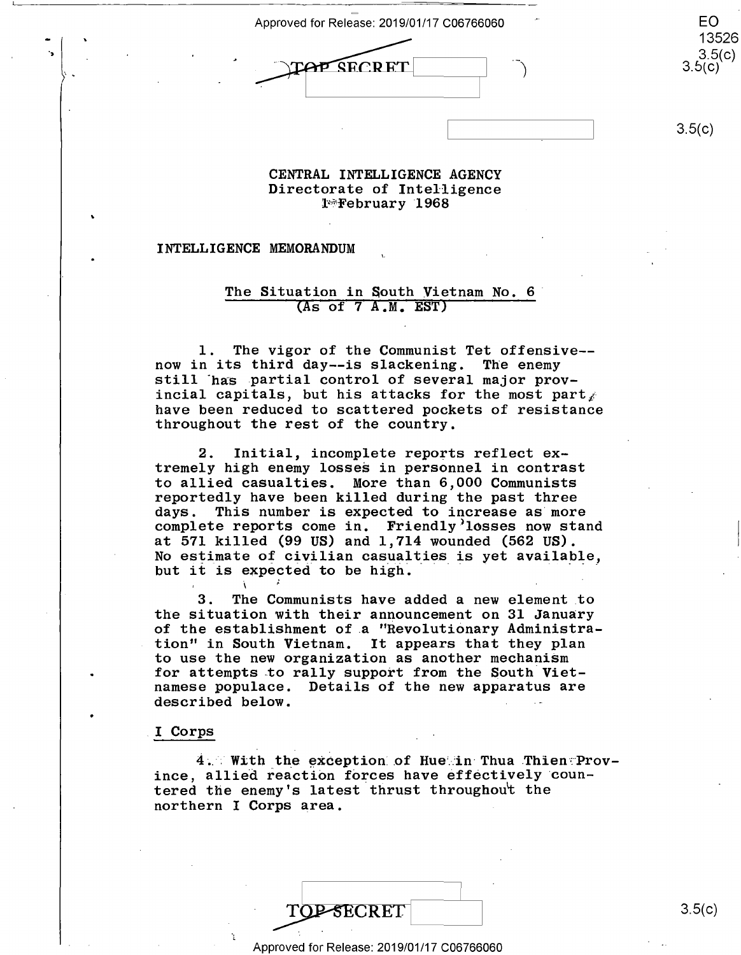Approved for Release: 2019/01/17 C06766060 EO



13526 13526  $3.5(c)$ <br>3.5(c)

EO

 $3.5(c)$ 

#### **CENTRAL INTELLIGENCE AGENCY**  CENTRAL INTELLIGENCE AGENCY Directorate of Intelligence Directorate of Intelligence l<sup>\*</sup>February 1968

#### INTELLIGENCE MEMORANDUM

 $\begin{array}{c} \begin{array}{c} \bullet \\ \bullet \end{array} \end{array}$ 

. -

### The Situation in South Vietnam No. 6 The Situation in South Vietnam No. 6' (As of 7 A.M. **EST)**  (as of 7 A.M. EST)

1. The vigor of the Communist Tet offensive-- l. The vigor of the Communist Tet offensive— now in its third day--is slackening. The enemy now in its third day--is slackening. The enemy now in its third day--is slackening. The enemy<br>still has partial control of several major provincial capitals, but his attacks for the most part $\chi$ have been reduced to scattered pockets of resistance have been reduced to scattered pockets of resistance throughout the rest of the country. throughout the rest of the country.

2. Initial, incomplete reports reflect ex-2. Initial, incomplete reports reflect ex tremely high enemy losses in personnel in contrast tremely high enemy losses in personnel in contrast to allied casualties. More than *6,000* Communists to allied casualties. More than 6,000 Communists reportedly have been killed during the past three reportedly have been killed during the past three days. This number is expected to increase as·more days. This number is expected to increase as more complete reports come in. Friendly>losses now stand complete reports come in. Friendly'losses now stand at 571 killed (99 US) and 1,714 wounded (562 US). at 571 killed (99 US) and 1,714 wounded (562 US). no off hilled (50 cm) and 1, 111 wounded (502 cm).<br>No estimate of civilian casualties is yet available, No estimate of civilian casualties is yet available,<br>but it is expected to be high. but it is expected to be high.

3. The Communists have added a new element .to 3. The Communists have added a new element to the situation with their announcement on 31 January the Situation with their announcement on 31 January of the establishment of a "Revolutionary Administration" in South Vietnam. It appears that they plan tion'' in South Vietnam. It appears that they plan to use the new organization as another mechanism to use the new organization as another mechaniSm for attempts to rally support from the South Vietnamese populace. Details of the new apparatus are namese populace. Details of the new apparatus are described below.

, . .

### I Corps .I Corps

 $4.$  With the exception of Hue in Thua Thien Province, allied reaction forces have effectively countered the enemy's latest thrust throughout the northern I Corps area.

1 7

Approved for Release: 2019/01/17 C06766060 Approved for Release: 2019/01/17 006766060

TOP-SECRET 3.5(c) 3.5(c)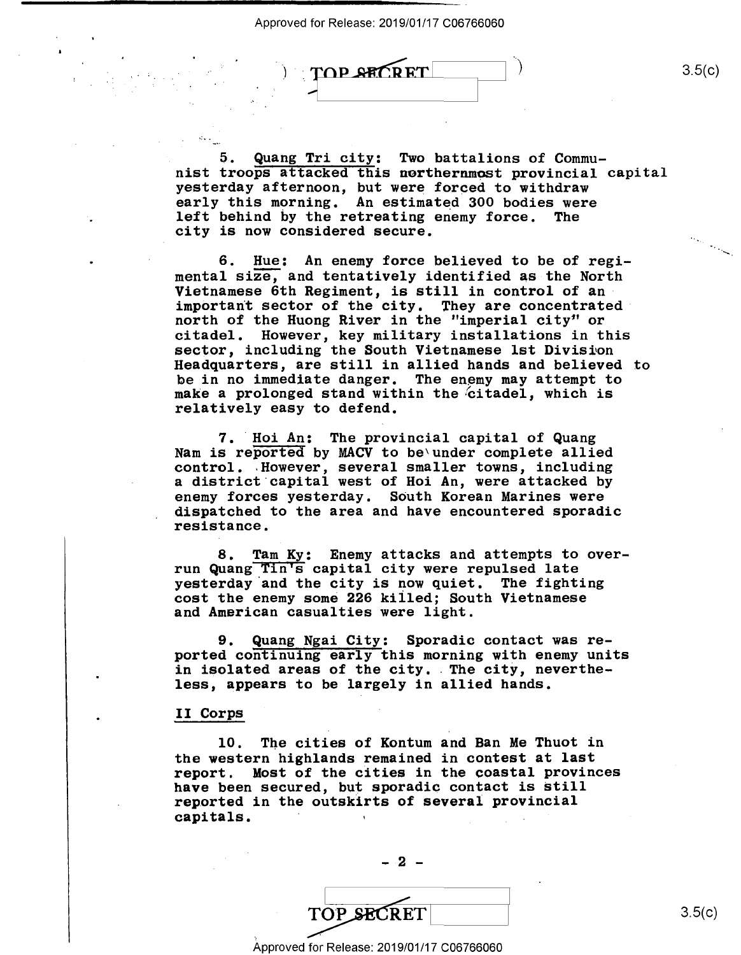Approved for Release: 2019/01/17 C06766060 Approved forRelease: 2019/01/17 006766060

TOP SECRET

3.5(c) 3.5(0)

5. Quang Tri city: Two battalions of Commu-\_ 5. Quang Tri city: Two battalions of Commu nist troops attacked this northernmost provincial capital nist troops attacked this northernmost provincial capital yesterday afternoon, but were forced to withdraw yesterday afternoon, but were forced to withdraw early this morning. An estimated 300 bodies were early this morning. An estimated 300 bodies were left behind by the **retreating** enemy force. The left behind by the retreating enemy force. The city is now considered secure. city is now considered secure.

)

6. Hue: An enemy force believed to be of regimental size, and tentatively identified as the North mental size, and tentatively identified as the North important sector of the city. They are concentrated north of the Huong River in the "imperial city" or north of the Huong River in the "imperial city" or citadel. However, key military installations in this citadel. However, key military installations in this sector, including the South Vietnamese 1st Division Headquarters, are still in allied hands and believed to Headquarters, are still in allied hands and believed to be in no immediate danger. The enemy may attempt to we in he immediate danger. The enemy may accompt to make a prolonged stand within the citadel, which is relatively easy to defend. relatively easy to defend.

7. Hoi An: The provincial capital of Quang Nam is reported by MACV to be'under complete allied Nam is reported by MACV to be\under complete allied control. ,However, several smaller towns, including control. .However, several smaller towns, including a district·capital west of Hoi An, were attacked by <sup>a</sup> district capital west of Hoi An, were attacked by enemy forces vesterday. South Korean Marines were dispatched to the area and have encountered sporadic dispatched to the area and have encountered Sporadic resistance. resistance.

8. Tam Ky: Enemy attacks and attempts to overrun Quang Tin's capital city were repulsed late run Quang TIn's capital city were repulsed late run waang in 5 capital cray word repaired into resterday and the city is now quiet. The fighting cost the enemy some 226 killed; South Vietnamese cost the enemy some 226 killed; South Vietnamese and American casualties were light. and American casualties were light.

9. Quang Ngai City: Sporadic contact was re-9. Quang Ngai City: Sporadic contact was reported continuing early this morning with enemy units ported continuing early this morning with enemy units ported continuing early this morning with enemy units<br>in isolated areas of the city. The city, nevertheless, appears to be largely in allied hands. less, appears to be largely in allied hands.

## II Corps II Corps

10. The cities of Kontum and Ban Me Thuot in the western highlands remained in contest at last the western highlands remained in contest at last report. Most of the cities in the coastal provinces report. Most of the cities in the coastal provinces have been secured, but sporadic contact is Still have been secured, but sporadic contact is Still reported in the outskirts of several provincial reported in the outskirts of several provincial **capitals.**  capitals. ' '

 $-2 -$ 

TOP SECRET TOP SECRET

 $3.5(c)$ 

Approved for Release: 2019/01/17 C06766060 Approved for Release: 2019/01/17 006766060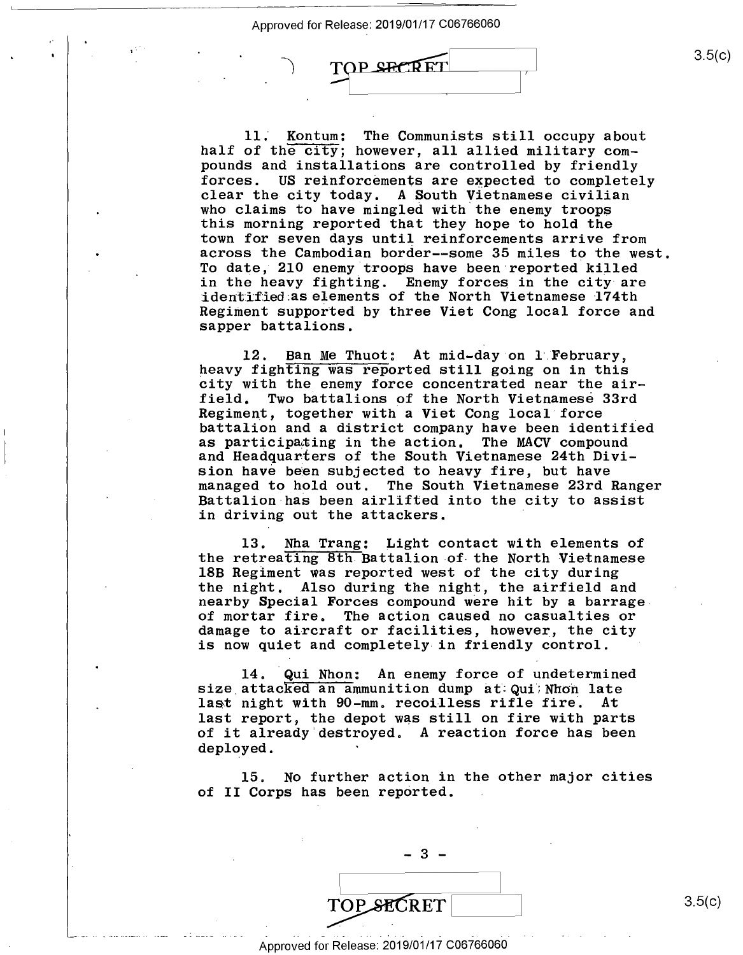$\overline{\phantom{1}}$ 

 $\rightarrow$ 

TOP SECRET

11. Kontum: The Communists still occupy about 11. Kontum: The Communists still occupy about half of the city; however, all allied military compounds and installations are controlled by friendly pounds and installations are controlled by friendly forces. US reinforcements are expected to completely clear the city today. A South Vietnamese civilian clear the city today. A South Vietnamese civilian who claims to have mingled with the enemy troops this morning reported that they hope to hold the this morning reported that they hope to hold the town for seven days until reinforcements arrive from town for seven days until reinforcements arrive from across the Cambodian border--some 35 miles to the west. across the Cambodian border-—some 35 miles to the west. To date, 210 enemy troops have been reported killed To date, 210 enemy troops have been reported killed in the heavy fighting. Enemy forces in the city are in the heavy fighting. Enemy forces in the city are identified as elements of the North Vietnamese 174th Regifuent supported by three Viet Cong local force and Regiment supported by three Viet Cong local force and sapper battalions. sapper battalions.

12. Ban Me Thuot: At mid-day on l February, 12. Ban me indot: At mid-day on I repruary,<br>heavy fighting was reported still going on in this city with the enemy force concentrated near the air-city with the enemy force concentrated near the air field. Two battalions of the North Vietnamese 33rd field. Two battalions of the North Vietnamese 33rd Process. The successive of the North Processments of the Regiment, together with a Viet Cong local force battalion and a district company have been identified battalion and <sup>a</sup> district company have been identified as participating in the action. The MACV compound and Headquarters of the South Vietnamese 24th Divi-and Headquanters of the South Vietnamese 24th Diviand houdquareds of the south victimates from Sivimanaged to hold out. The South Vietnamese 23rd Ranger managed to hold out. The South Vietnamese 23rd Ranger Battalion-has been airlifted into the city to assist Battalion has been airlifted into the city to assist in driving out the attackers. in driving out the attackers. '

13. Nha Trang: Light contact with elements of l3. Nha Trang: Light contact with elements of the retreating 8th Battalion of- the North Vietnamese the retreating 8th Battalion of the North Vietnamese 18B Regiment was reported west of the city during 18B Regiment was reported west of the city during the night. Also during the night, the airfield and the night. .Also during the night, the airfield and nearby Special Forces compound were hit by a barrage nearby Special Forces compound were hit by <sup>a</sup> barrage. of mortar fire. The action caused no casualties or of mortar fire. The action caused no casualties or damage to aircraft or facilities, however, the city damage to aircraft or facilities, however, the city is now quiet and completely in friendly control. is now quiet and completely-in friendly control.

14. Qui Nhon: An enemy force of undetermined l4. Qui Nhon: An enemy force of undetermined size attacked an ammunition dump at Qui; Nhon late size attacked an ammunition dump at Qui/Mon late<br>last night with 90-mm. recoilless rifle fire. At rast hight with 50-mm. Tecoritiess fifte file. At<br>last report, the depot was still on fire with parts of it already destroyed. A reaction force has been of it already destroyed. A reaction force has been deployed. deployed. '

15. No further action in the other major cities 15. No further action in the other major cities of II Corps has been reported. of II Corps has been reperted.

TOP SECRET

1919 - Jan Jawa Barat, papa kalendar dan kalendar dan kalendar dan kalendar dan kalendar dan kalendar dan kale<br>1919 - James Barat, bertukan berasal dan berasal dan berasal dan berasal dan berasal dan berasal dan berasal d

|<br>|<br>|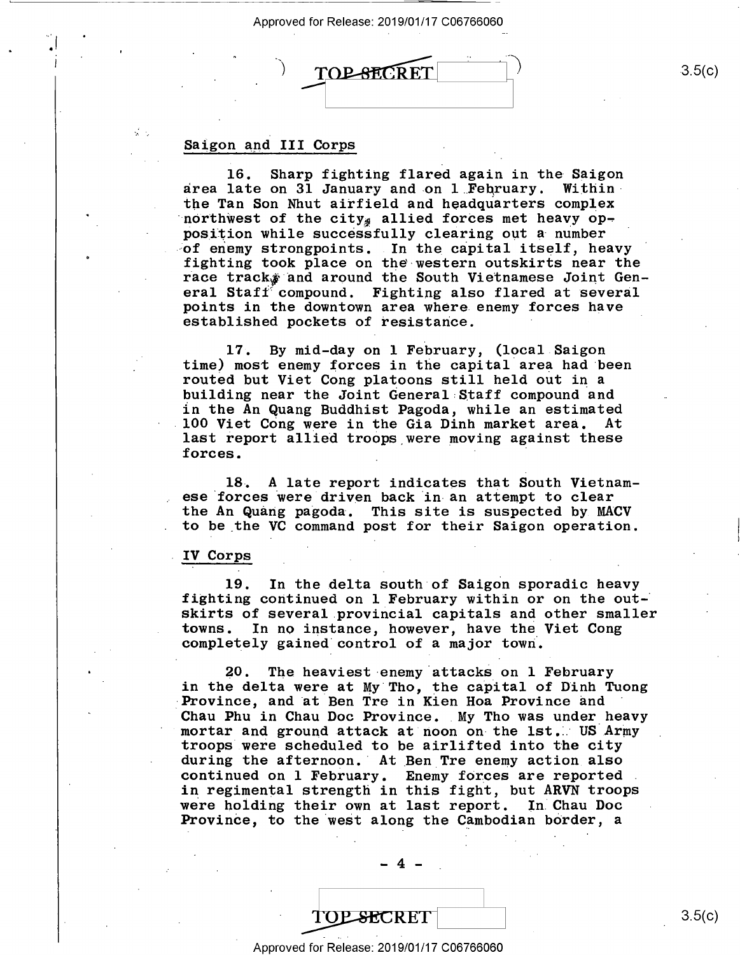Approved for Release: 2019/01/17 C06766060 Approved for Release: 2019/01/17 006766060

**TOP-SECRET** 

# Saigon and III Corps Saigon and III Corps

.....

16. Sharp fighting flared again in the Saigon 16. Sharp fighting flared again in the Saigon area late on 31 January and on 1 February. Within<br>the Tan Son Nhut airfield and headquarters complex northwest of the  $city_{\#}$  allied forces met heavy opposition while successfully clearing out a number position while successially clearing out a number<br>of enemy strongpoints. In the capital itself, heavy fighting took place on the-western outskirts near the fighting took place on the-western outskirts near the race track, and around the South Vietnamese Joint General Stafi"' compound. Fighting also flared at several eral Staff'compound. Fighting also flared at several points in the downtown area where enemy forces have points in the downtown area where.enemy forces have established pockets of resistance. established pockets of resistance. ' the Tan Son Nhut airfield and headquarters complex

17. By mid-day on 1 February, (local Saigon time) most enemy forces in the capital area had been time) most enemy forces in the capital area had been time, most enemy forces in the capital area had been<br>routed but Viet Cong platoons still held out in a building near the Joint General Staff compound and in the An Quang Buddhist Pagoda, while an estimated<br>100 Viet Cong were in the Gia Dinh market area. At last report allied troops were moving against these forces. 100 Viet Cong were in the Gia Dinh market area. At

18~ A late report indicates that South Vietnam-18. A late report indicates that South Vietnam ese forces were driven back in an attempt to clear the An Quang pagoda. This site is suspected by MACV to be \_the VC command post for their Saigon operation. to be the VC command post for their Saigon operation.

### IV Corps . IV COrps

19. In the delta south of Saigon sporadic heavy 19. In the delta south of Saigon sporadic heavy fighting continued on 1 February within or on the outskirts of several.provincial capitals and other smaller skirts of severa1.provincia1 capitals and other smaller towns. In no instance, however, have the Viet Cong completely gained· control of a major town·. completely gained control of <sup>a</sup> major town.

20. The heaviest ·enemy.attacks on 1 February 20. The heaviest-enemy attacks on 1 February in the delta were at My.Tho, the capital of Dinh Tuong in the delta were at My Tho, the capital of Dinh Tuong Province, and at Ben Tre in Kien Hoa Province and Province, and at Ben Tre in Kien Hoa Province and<br>Chau Phu in Chau Doc Province. My Tho was under heavy mortar and ground attack at noon on-the 1st.: US Army troops were scheduled to be airlifted into the city troops were scheduled to be airlifted into the city during the afternoon. At Ben Tre enemy action also continued on 1 February. Enemy forces are reported continued on 1 February. Enemy forces are reported . in regimental strength in this fight, but ARVN troops in regimental strength in this fight, but ARVN troops In regimental strength in this light, sat have treep-<br>were holding their own at last report. In Chau Doc Province, to the west along the Cambodian border, a

**TOP SECRET** 3.5(c)

- 4 -

 $-4$   $-$ 

Approved for Release: 2019/01/17 C06766060 Approved for- Release: 2019/01/17 006766060

3.5(c)  $|$ ) 3.5(c)

3.5(c)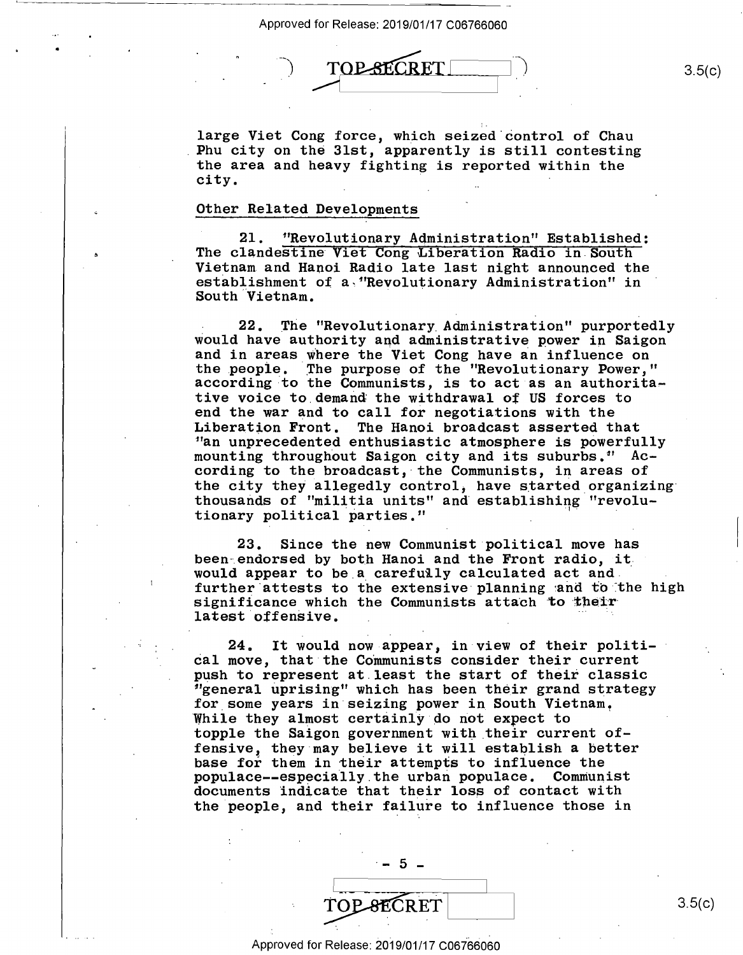

large Viet Cong force, which seized·control of Chau large Viet Cong force, which seized'control of Chau Phu city on the 31st, apparently is still contesting .Phu city on the 31st, apparently is still contesting the area and heavy fighting is reported within the the area and heavy fighting is reported within the city.  $\mathbf{city.}$ 

## Other Related Developments Other Related Deve10pments

21. 11Revolutionary Administration" Established: 21. "Revolutionary Administration" Established: The clandestine Viet Cong Liberation **Radio** in South The clandestine Viet Cong Liberation Radio in South Vietnam and Hanoi Radio late last night announced the Vietnam and Hanoi Radio late last night announced the establishment of a "Revolutionary Administration" in South Vietnam.

22. The "Revolutionary Administration" purportedly would have authority and administrative power in Saigon Would have authority and administrative power in Saigon and in areas where the Viet Cong have an influence on and in areas Where the Viet Cong have an influence on the people. The purpose of the "Revolutionary Power," according to the Communists, is to act as an authoritative voice to.demand the withdrawal of US forces to tive voice to demand the withdrawal of US forces to end the war and to call for negotiations with the end the war and to call for negotiations with the Liberation Front. The Hanoi broadcast asserted that 11an unprecedented enthusiastic atmosphere is powerfully "an unprecedented enthusiastic atmosphere is powerfully an unprecedented enthus has tic atmosphere is powerfully mounting throughout Saigon city and its suburbs." According to the broadcast, the Communists, in areas of the city they allegedly control, have started organizing thousands of "militia units" and establishing "revolu-thousands of "militia units" and'establishing "revolu tionary political parties." Liberation Front. The Hanoi broadcast asserted that

23. Since the new Communist political move has 23. Since the new Communist political move has been endorsed by both Hanoi and the Front radio, it.  $\frac{1}{2}$  would appear to be a carefully calculated act and. further attests to the extensive planning and to the high significance which the Communists attach to their bighthromeo which the communicate attach to see "

24. It would now appear, in view of their politi-24. It would now-appear, in View of their politi- cal move, that the Communists consider their current push to represent at.least the start of their classic 11general uprising" which has been their grand strategy "general uprising" which has been their grand strategy for some years in seizing power in South Vietnam. While they almost certainly do not expect to topple the Saigon government with their current of-topple the Saigon governmen<sup>t</sup> with\_their current of toppie the saigon government with their current or-<br>fensive, they may believe it will establish a better base for them in their attempts to influence the populace--especially.the urban populace. Communist populace—-especially.the urban populace. Communist population-employmently one determinisment communities the people, and their failure to influence those in push to represent at.1east the start of their classic

 $-5 -$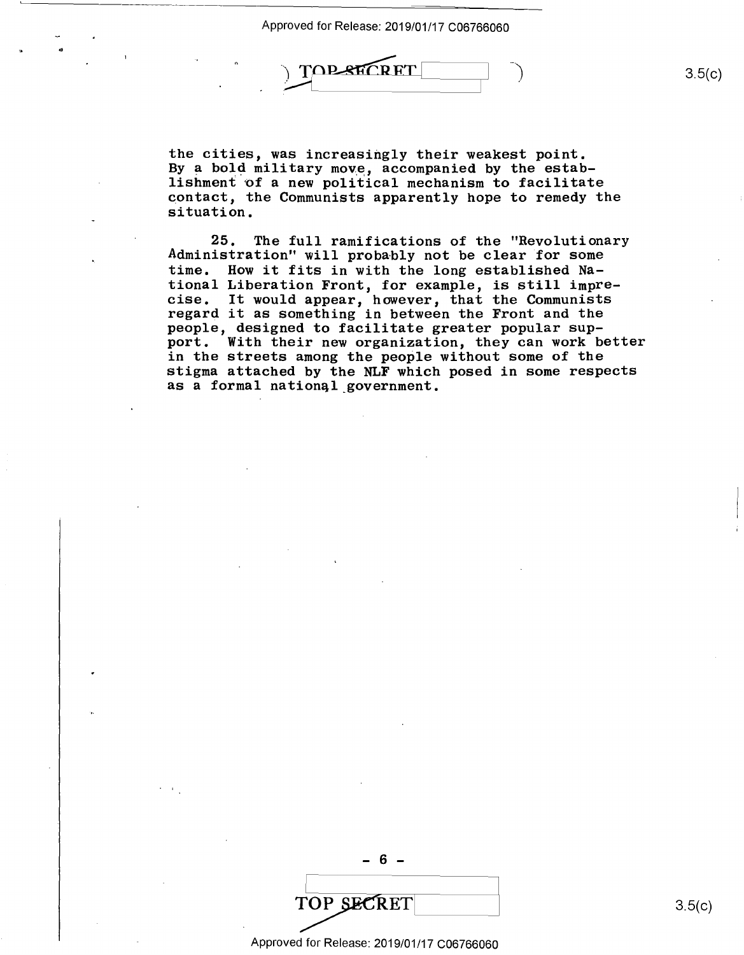.. Approved for Release: 2019/01/17 C06766060 Approved for Release: 2019/01/17 006766060



the cities, was increasingly their weakest point. the cities, was increasingly their weakest point. By a bold military move, accompanied by the estabby a bord millionly move, accompanied by the estable is interested in the set of a new political mechanism to facilitate contact, the Communists apparently hope to remedy the contact, the Communists apparently hope to remedy the situation. situation.

25. The full ramifications of the "Revolutionary 25. The full ramifications of the "Revolutionary Administration" will probably not be clear for some time. How it fits in with the long established Na-time. How it fits in with the long established National Liberation Front, for example, is still impre-tional Liberation Front, for example, is still imprecise. It would appear, however, that the Communists cise. It would appear, however, that the Communists<br>regard it as something in between the Front and the people, designed to facilitate greater popular sup-pe0p1e, designed to facilitate greater popular sup port. With their new organization, they can work better port. With their new organization, they can work better in the streets among the people without some of the in the streets among the people without some ofthe stigma attached by the NLF which posed in some respects stigma attached by the NLF which posed in some respects as a formal national government. regard it as something in between the Front and the

TOP SECRET 3.5(c)

Approved for Release: 2019/01/17 C06766060 Approved for Release: 2019/01/17 006766060

 $- 6 -$